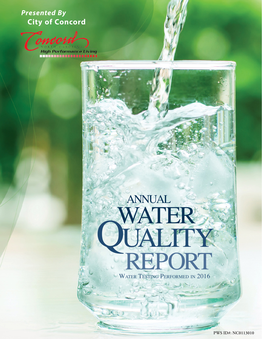# *Presented By*  **City of Concord**

Tomoor **High Performance Living<br>TELETITI TELETITI III** 

# WAT JALITY<br>REPORT annual

WATER TESTING PERFORMED IN 2016

**PWS ID#: NC0113010**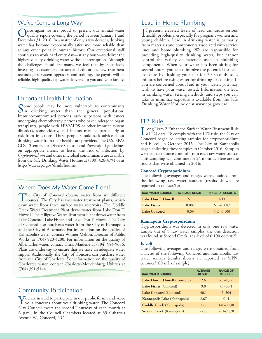# We've Come a Long Way

Once again we are proud to present our annual water quality report covering the period between January 1 and December 31, 2016. In a matter of only a few decades, drinking water has become exponentially safer and more reliable than at any other point in human history. Our exceptional staff continues to work hard every day—at any hour—to deliver the highest quality drinking water without interruption. Although the challenges ahead are many, we feel that by relentlessly investing in customer outreach and education, new treatment technologies, system upgrades, and training, the payoff will be reliable, high-quality tap water delivered to you and your family.

### Important Health Information

Some people may be more vulnerable to contaminants<br>In drinking water than the general population. Immunocompromised persons such as persons with cancer undergoing chemotherapy, persons who have undergone organ transplants, people with HIV/AIDS or other immune system disorders, some elderly, and infants may be particularly at risk from infections. These people should seek advice about drinking water from their health care providers. The U.S. EPA/ CDC (Centers for Disease Control and Prevention) guidelines on appropriate means to lessen the risk of infection by *Cryptosporidium* and other microbial contaminants are available from the Safe Drinking Water Hotline at (800) 426-4791 or at [http://water.epa.gov/drink/hotline.](http://water.epa.gov/drink/hotline)

# Where Does My Water Come From?

The City of Concord obtains water from six different sources. The City has two water treatment plants, which draw water from three surface water reservoirs. The Coddle Creek Water Treatment Plant draws water from Lake Don T. Howell. The Hillgrove Water Treatment Plant draws water from Lake Concord, Lake Fisher, and Lake Don T. Howell. The City of Concord also purchases water from the City of Kannapolis and the City of Albemarle. For information on the quality of Kannapolis's water, contact Wilmer Melton, Director of Public Works, at (704) 920-4200. For information on the quality of Albemarle's water, contact Chris Maidene at (704) 984-9656. Plans are underway to ensure that we have an adequate water supply. Additionally, the City of Concord can purchase water from the City of Charlotte. For information on the quality of Charlotte's water, contact Charlotte-Mecklenburg Utilities at (704) 391-5144.

# Community Participation

You are invited to participate in our public forum and voice your concerns about your drinking water. The Concord City Council meets the second Thursday of each month at 6 p.m., in the Council Chambers located at 35 Cabarrus Avenue W., Concord, NC.

# Lead in Home Plumbing

If present, elevated levels of lead can cause serious<br>health problems, especially for pregnant women and health problems, especially for pregnant women and young children. Lead in drinking water is primarily from materials and components associated with service lines and home plumbing. We are responsible for providing high-quality drinking water, but cannot control the variety of materials used in plumbing components. When your water has been sitting for several hours, you can minimize the potential for lead exposure by flushing your tap for 30 seconds to 2 minutes before using water for drinking or cooking. If you are concerned about lead in your water, you may wish to have your water tested. Information on lead in drinking water, testing methods, and steps you can take to minimize exposure is available from the Safe Drinking Water Hotline or at [www.epa.gov/lead](http://www.epa.gov/lead).

# LT2 Rule

Long Term 2 Enhanced Surface Water Treatment Rule (LT2) data: To comply with the LT2 rule, the City of Concord began collecting samples for cryptosporidium and E. coli in October 2015. The City of Kannapolis began collecting these samples in October 2016. Samples were collected once a month from each raw water source. This sampling will continue for 24 months. Here are the results that were obtained in 2016:

#### **Concord Cryptosporidium**

The following averages and ranges were obtained from the following raw water sources (results shown are reported in oocysts/L):

| <b>RAW WATER SOURCE</b> | <b>AVERAGE RESULT</b> | <b>RANGE OF RESULTS</b> |
|-------------------------|-----------------------|-------------------------|
| Lake Don T. Howell      | ND.                   | ND.                     |
| Lake Fisher             | 0.007                 | $ND-0.087$              |
| Lake Concord            | 0.09                  | $ND-0.100$              |

#### **Kannapolis Cryptosporidium**

Cryptosporidium was detected in only one raw water sample out of 9 raw water samples; the one detection was found at Second Creek, at a level of 0.190 oocysts/L.

#### **E. coli**

The following averages and ranges were obtained from analyses of the following Concord and Kannapolis raw water sources (results shown are reported as MPN, colonies/100 mL of sample):

| <b>RAW WATER SOURCE</b>          | <b>AVERAGE</b><br><b>RESULT</b> | <b>RANGE OF</b><br><b>RESULTS</b> |
|----------------------------------|---------------------------------|-----------------------------------|
| Lake Don T. Howell (Concord)     | 2.6                             | $<1-13.2$                         |
| Lake Fisher (Concord)            | 9.0                             | $<1-33.1$                         |
| Lake Concord (Concord)           | 40.1                            | $2 - 304$                         |
| Kannapolis Lake (Kannapolis)     | 2.67                            | $0 - 4$                           |
| <b>Coddle Creek</b> (Kannapolis) | 526                             | $140 - 1130$                      |
| <b>Second Creek</b> (Kannapolis) | 2788                            | $261 - 7170$                      |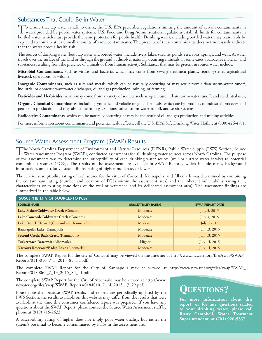# Substances That Could Be in Water

To ensure that tap water is safe to drink, the U.S. EPA prescribes regulations limiting the amount of certain contaminants in<br>water provided by public water systems. U.S. Food and Drug Administration regulations establish bottled water, which must provide the same protection for public health. Drinking water, including bottled water, may reasonably be expected to contain at least small amounts of some contaminants. The presence of these contaminants does not necessarily indicate that the water poses a health risk.

The sources of drinking water (both tap water and bottled water) include rivers, lakes, streams, ponds, reservoirs, springs, and wells. As water travels over the surface of the land or through the ground, it dissolves naturally occurring minerals, in some cases, radioactive material, and substances resulting from the presence of animals or from human activity. Substances that may be present in source water include:

**Microbial Contaminants**, such as viruses and bacteria, which may come from sewage treatment plants, septic systems, agricultural livestock operations, or wildlife;

**Inorganic Contaminants**, such as salts and metals, which can be naturally occurring or may result from urban storm-water runoff, industrial or domestic wastewater discharges, oil and gas production, mining, or farming;

**Pesticides and Herbicides**, which may come from a variety of sources such as agriculture, urban storm-water runoff, and residential uses;

**Organic Chemical Contaminants**, including synthetic and volatile organic chemicals, which are by-products of industrial processes and petroleum production and may also come from gas stations, urban storm-water runoff, and septic systems;

**Radioactive Contaminants**, which can be naturally occurring or may be the result of oil and gas production and mining activities.

For more information about contaminants and potential health effects, call the U.S. EPA's Safe Drinking Water Hotline at (800) 426-4791.

# Source Water Assessment Program (SWAP) Results

The North Carolina Department of Environment and Natural Resources (DENR), Public Water Supply (PWS) Section, Source<br>Water Assessment Program (SWAP), conducted assessments for all drinking water sources across North Caroli of the assessments was to determine the susceptibility of each drinking water source (well or surface water intake) to potential contaminant sources (PCSs). The results of the assessment are available in SWAP Reports, which include maps, background information, and a relative susceptibility rating of higher, moderate, or lower.

The relative susceptibility rating of each source for the cities of Concord, Kannapolis, and Albemarle was determined by combining the contaminant rating (number and location of PCSs within the assessment area) and the inherent vulnerability rating (i.e., characteristics or existing conditions of the well or watershed and its delineated assessment area). The assessment findings are summarized in the table below:

| <b>SUSCEPTIBILITY OF SOURCES TO PCSS</b>    |                             |                         |  |  |  |  |  |  |  |  |
|---------------------------------------------|-----------------------------|-------------------------|--|--|--|--|--|--|--|--|
| <b>SOURCE NAME</b>                          | <b>SUSCEPTBILITY RATING</b> | <b>SWAP REPORT DATE</b> |  |  |  |  |  |  |  |  |
| Lake Fisher/Coldwater Creek (Concord)       | Moderate                    | July 3, 2015            |  |  |  |  |  |  |  |  |
| Lake Concord/Coldwater Creek (Concord)      | Moderate                    | July 3, 2015            |  |  |  |  |  |  |  |  |
| Lake Don T. Howell (Concord and Kannapolis) | Moderate                    | July 3,2015             |  |  |  |  |  |  |  |  |
| <b>Kannapolis Lake</b> (Kannapolis)         | Moderate                    | July 13, 2015           |  |  |  |  |  |  |  |  |
| Second Creek/Back Creek (Kannapolis)        | Moderate                    | July 13, 2015           |  |  |  |  |  |  |  |  |
| Tuckertown Reservoir (Albemarle)            | Higher                      | July 14, 2015           |  |  |  |  |  |  |  |  |
| Narrows Reservoir/Badin Lake (Albemarle)    | Moderate                    | July 14, 2015           |  |  |  |  |  |  |  |  |

The complete SWAP Report for the city of Concord may be viewed on the Internet at [http://www.ncwater.org/files/swap/SWAP\\_](http://www.ncwater.org/files/swap/SWAP_Reports/0113010_7_3_2015_85_11.pdf) [Reports/0113010\\_7\\_3\\_2015\\_85\\_11.pdf.](http://www.ncwater.org/files/swap/SWAP_Reports/0113010_7_3_2015_85_11.pdf)

The complete SWAP Report for the City of Kannapolis may be viewed at [http://www.ncwater.org/files/swap/SWAP\\_](http://www.ncwater.org/files/swap/SWAP_Reports/0180065_7_13_2015_85_11.pdf) [Reports/0180065\\_7\\_13\\_2015\\_85\\_11.pdf](http://www.ncwater.org/files/swap/SWAP_Reports/0180065_7_13_2015_85_11.pdf).

The complete SWAP Report for the City of Albemarle may be viewed at [http://www.](http://www.ncwater.org/files/swap/SWAP_Reports/0184010_7_14_2015_17_22.pdf) [ncwater.org/files/swap/SWAP\\_Reports/0184010\\_7\\_14\\_2015\\_17\\_22.pdf](http://www.ncwater.org/files/swap/SWAP_Reports/0184010_7_14_2015_17_22.pdf).

Please note that because SWAP results and reports are periodically updated by the PWS Section, the results available on this website may differ from the results that were available at the time this consumer confidence report was prepared. If you have any questions about the SWAP Report, please contact the Source Water Assessment staff by phone at (919) 715-2633.

A susceptibility rating of higher does not imply poor water quality, but rather the system's potential to become contaminated by PCSs in the assessment area.

# **Questions?**

**For more information about this report, or for any questions related to your drinking water, please call Rusty Campbell, Water Treatment Superintendent, at (704) 920-5337.**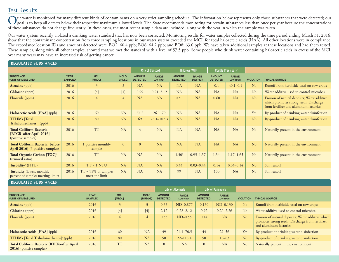# Test Results

Our water is monitored for many different kinds of contaminants on a very strict sampling schedule. The information below represents only those substances that were detected; our<br>goal is to keep all detects below their res of these substances do not change frequently. In these cases, the most recent sample data are included, along with the year in which the sample was taken.

Our water system recently violated a drinking water standard that has now been corrected. Monitoring results for water samples collected during the time period ending March 31, 2016, show that the contaminant concentration from three sampling locations in our water system exceeded the MCL for total haloacteic acids (HAA). All other locations were in compliance. The exceedance location IDs and amounts detected were: BO2: 60.4 ppb; BO6: 64.2 ppb; and BO8: 63.0 ppb. We have taken additional samples at these locations and had them tested. These samples, along with all other samples, showed that we met the standard with a level of 57.5 ppb. Some people who drink water containing haloacetic acids in excess of the MCL over many years may have an increased risk of getting cancer.

| <b>REGULATED SUBSTANCES</b>                                                      |                               |                                         |                        |                                  |                          |                                  |                          |                                  |                                 |                  |                                                                                                                                 |
|----------------------------------------------------------------------------------|-------------------------------|-----------------------------------------|------------------------|----------------------------------|--------------------------|----------------------------------|--------------------------|----------------------------------|---------------------------------|------------------|---------------------------------------------------------------------------------------------------------------------------------|
|                                                                                  |                               |                                         |                        |                                  | <b>City of Concord</b>   |                                  | <b>Hillgrove WTP</b>     |                                  | <b>Coddle Creek WTP</b>         |                  |                                                                                                                                 |
| <b>SUBSTANCE</b><br>(UNIT OF MEASURE)                                            | <b>YEAR</b><br><b>SAMPLED</b> | <b>MCL</b><br>[MRDL]                    | <b>MCLG</b><br>[MRDLG] | <b>AMOUNT</b><br><b>DETECTED</b> | <b>RANGE</b><br>LOW-HIGH | <b>AMOUNT</b><br><b>DETECTED</b> | <b>RANGE</b><br>LOW-HIGH | <b>AMOUNT</b><br><b>DETECTED</b> | <b>RANGE</b><br><b>LOW-HIGH</b> | <b>VIOLATION</b> | <b>TYPICAL SOURCE</b>                                                                                                           |
| <b>Atrazine</b> (ppb)                                                            | 2016                          | $\mathfrak{Z}$                          | 3                      | <b>NA</b>                        | <b>NA</b>                | <b>NA</b>                        | <b>NA</b>                | 0.1                              | $< 0.1 - 0.1$                   | N <sub>o</sub>   | Runoff from herbicide used on row crops                                                                                         |
| Chlorine (ppm)                                                                   | 2016                          | $[4]$                                   | $[4]$                  | 0.99                             | $0.21 - 2.12$            | <b>NA</b>                        | <b>NA</b>                | <b>NA</b>                        | <b>NA</b>                       | No               | Water additive used to control microbes                                                                                         |
| Fluoride (ppm)                                                                   | 2016                          | $\overline{4}$                          | $\overline{4}$         | <b>NA</b>                        | <b>NA</b>                | 0.50                             | <b>NA</b>                | 0.60                             | <b>NA</b>                       | No               | Erosion of natural deposits; Water additive<br>which promotes strong teeth; Discharge<br>from fertilizer and aluminum factories |
| Haloacetic Acids [HAA] (ppb)                                                     | 2016                          | 60                                      | <b>NA</b>              | 64.2                             | $26.1 - 79$              | <b>NA</b>                        | <b>NA</b>                | <b>NA</b>                        | <b>NA</b>                       | Yes              | By-product of drinking water disinfection                                                                                       |
| <b>TTHMs</b> [Total<br>$\mathbf{Trihalomethanes}$ (ppb)                          | 2016                          | 80                                      | <b>NA</b>              | 69                               | $28.1 - 107.3$           | <b>NA</b>                        | <b>NA</b>                | <b>NA</b>                        | <b>NA</b>                       | No               | By-product of drinking water disinfection                                                                                       |
| <b>Total Coliform Bacteria</b><br>[RTCR-after April 2016]<br>(positive samples)  | 2016                          | <b>TT</b>                               | <b>NA</b>              | $\overline{4}$                   | <b>NA</b>                | <b>NA</b>                        | <b>NA</b>                | <b>NA</b>                        | <b>NA</b>                       | N <sub>o</sub>   | Naturally present in the environment                                                                                            |
| <b>Total Coliform Bacteria [before</b><br><b>April 2016</b> (# positive samples) | 2016                          | 1 positive monthly<br>sample            | $\overline{0}$         | $\mathbf{0}$                     | <b>NA</b>                | <b>NA</b>                        | <b>NA</b>                | <b>NA</b>                        | <b>NA</b>                       | N <sub>o</sub>   | Naturally present in the environment                                                                                            |
| Total Organic Carbon [TOC] <sup>2</sup><br>(removal ratio)                       | 2016                          | <b>TT</b>                               | <b>NA</b>              | <b>NA</b>                        | <b>NA</b>                | $1.30^{3}$                       | $0.95 - 1.57$            | $1.34^{3}$                       | $1.17 - 1.65$                   | No               | Naturally present in the environment                                                                                            |
| Turbidity <sup>4</sup> (NTU)                                                     | 2016                          | $TT = 1 NTU$                            | <b>NA</b>              | <b>NA</b>                        | <b>NA</b>                | 0.44                             | $0.03 - 0.44$            | 0.14                             | $0.04 - 0.14$                   | No               | Soil runoff                                                                                                                     |
| Turbidity (lowest monthly<br>percent of samples meeting limit)                   | 2016                          | $TT = 95%$ of samples<br>meet the limit | <b>NA</b>              | <b>NA</b>                        | <b>NA</b>                | 99                               | <b>NA</b>                | 100                              | <b>NA</b>                       | No               | Soil runoff                                                                                                                     |

**REGULATED SUBSTANCES**

|                                                                             |                               |                      |                        |                                  | <b>City of Albemarle</b>        | <b>City of Kannapolis</b>        |                          |                  |                                                                                                                                 |
|-----------------------------------------------------------------------------|-------------------------------|----------------------|------------------------|----------------------------------|---------------------------------|----------------------------------|--------------------------|------------------|---------------------------------------------------------------------------------------------------------------------------------|
| <b>SUBSTANCE</b><br>(UNIT OF MEASURE)                                       | <b>YEAR</b><br><b>SAMPLED</b> | <b>MCL</b><br>[MRDL] | <b>MCLG</b><br>[MRDLG] | <b>AMOUNT</b><br><b>DETECTED</b> | <b>RANGE</b><br><b>LOW-HIGH</b> | <b>AMOUNT</b><br><b>DETECTED</b> | <b>RANGE</b><br>LOW-HIGH | <b>VIOLATION</b> | <b>TYPICAL SOURCE</b>                                                                                                           |
| <b>Atrazine</b> (ppb)                                                       | 2016                          | 3                    |                        | 0.33                             | ND-0.877                        | 0.130                            | $ND-0.130$               | N <sub>o</sub>   | Runoff from herbicide used on row crops                                                                                         |
| Chlorine (ppm)                                                              | 2016                          | $[4]$                | $[4]$                  | 2.12                             | $0.28 - 2.12$                   | 0.92                             | $0.20 - 2.26$            | No               | Water additive used to control microbes                                                                                         |
| Fluoride (ppm)                                                              | 2016                          | 4                    | 4                      | 0.55                             | $ND-0.55$                       | 0.44                             | <b>NA</b>                | No               | Erosion of natural deposits; Water additive which<br>promotes strong teeth; Discharge from fertilizer<br>and aluminum factories |
| Haloacetic Acids [HAA] (ppb)                                                | 2016                          | 60                   | <b>NA</b>              | 49                               | $24.4 - 70.5$                   | 44                               | $29 - 56$                | Yes              | By-product of drinking water disinfection                                                                                       |
| <b>TTHMs [Total Trihalomethanes]</b> <sup>1</sup> (ppb)                     | 2016                          | 80                   | <b>NA</b>              | 58                               | $22 - 118.4$                    | 50                               | $16 - 83$                | N <sub>o</sub>   | By-product of drinking water disinfection                                                                                       |
| Total Coliform Bacteria [RTCR-after April<br><b>2016</b> (positive samples) | 2016                          | <b>TT</b>            | <b>NA</b>              | $\overline{0}$                   | <b>NA</b>                       | $\overline{0}$                   | <b>NA</b>                | N <sub>o</sub>   | Naturally present in the environment                                                                                            |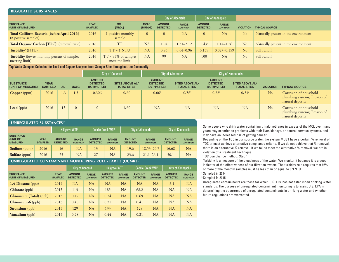| <b>REGULATED SUBSTANCES</b>                                                |                               |                                             |                        |                                  |                          |                                  |                           |                  |                                      |
|----------------------------------------------------------------------------|-------------------------------|---------------------------------------------|------------------------|----------------------------------|--------------------------|----------------------------------|---------------------------|------------------|--------------------------------------|
|                                                                            |                               |                                             |                        |                                  | <b>City of Albemarle</b> |                                  | <b>City of Kannapolis</b> |                  |                                      |
| <b>SUBSTANCE</b><br>(UNIT OF MEASURE)                                      | <b>YEAR</b><br><b>SAMPLED</b> | <b>MCL</b><br>[MRDL]                        | <b>MCLG</b><br>[MRDLG] | <b>AMOUNT</b><br><b>DETECTED</b> | <b>RANGE</b><br>LOW-HIGH | <b>AMOUNT</b><br><b>DETECTED</b> | <b>RANGE</b><br>LOW-HIGH  | <b>VIOLATION</b> | <b>TYPICAL SOURCE</b>                |
| <b>Total Coliform Bacteria [before April 2016]</b><br>(# positive samples) | 2016                          | positive monthly<br>sample                  | $\overline{0}$         | $\mathbf{0}$                     | <b>NA</b>                | $\overline{0}$                   | <b>NA</b>                 | No               | Naturally present in the environment |
| Total Organic Carbon [TOC] <sup>2</sup> (removal ratio)                    | 2016                          | <b>TT</b>                                   | <b>NA</b>              | 1.94                             | $1.31 - 2.12$            | $1.43^{3}$                       | 1.14–1.76                 | No               | Naturally present in the environment |
| Turbidity <sup>4</sup> (NTU)                                               | 2016                          | $TT = 1 NTU$                                | <b>NA</b>              | 0.96                             | $0.04 - 0.96$            | 0.159                            | $0.027 - 0.159$           | No               | Soil runoff                          |
| <b>Turbidity</b> (lowest monthly percent of samples<br>meeting limit)      | 2016                          | $= 95\%$ of samples<br>TΊ<br>meet the limit | <b>NA</b>              | 99                               | <b>NA</b>                | 100                              | <b>NA</b>                 | No               | Soil runoff                          |

#### **Tap Water Samples Collected for Lead and Copper Analyses from Sample Sites throughout the Community**

|                                       |                               |                          |             |                                                    | <b>City of Concord</b>                       |                                                 | <b>City of Albemarle</b>                     | <b>City of Kannapolis</b>                          |                                              |                  |                                                                            |
|---------------------------------------|-------------------------------|--------------------------|-------------|----------------------------------------------------|----------------------------------------------|-------------------------------------------------|----------------------------------------------|----------------------------------------------------|----------------------------------------------|------------------|----------------------------------------------------------------------------|
| <b>SUBSTANCE</b><br>(UNIT OF MEASURE) | <b>YEAR</b><br><b>SAMPLED</b> | AL.                      | <b>MCLG</b> | <b>AMOUNT</b><br><b>DETECTED</b><br>$(90TH%$ TILE) | <b>SITES ABOVE AL/</b><br><b>TOTAL SITES</b> | <b>AMOUNT</b><br><b>DETECTED</b><br>(90TH%TILE) | <b>SITES ABOVE AL/</b><br><b>TOTAL SITES</b> | <b>AMOUNT</b><br><b>DETECTED</b><br>$(90TH%$ TILE) | <b>SITES ABOVE AL/</b><br><b>TOTAL SITES</b> | <b>VIOLATION</b> | <b>TYPICAL SOURCE</b>                                                      |
| <b>Copper</b> (ppm)                   | 2016                          | 1.3                      | 1.3         | 0.306                                              | 0/60                                         | $0.06^5$                                        | $0/36^5$                                     | $0.22^{\circ}$                                     | $0/31^6$                                     | N <sub>o</sub>   | Corrosion of household<br>plumbing systems; Erosion of<br>natural deposits |
| <b>Lead</b> (ppb)                     | 2016                          | $\overline{\phantom{0}}$ |             |                                                    | 1/60                                         | <b>NA</b>                                       | <b>NA</b>                                    | <b>NA</b>                                          | NA                                           | No               | Corrosion of household<br>plumbing systems; Erosion of<br>natural deposits |

#### **UNREGULATED SUBSTANCES 7**

|                                                 |                               | <b>Hillgrove WTP</b>             |                                 | <b>Coddle Creek WTP</b>          |                          |                                  | <b>City of Albemarle</b> | <b>City of Kannapolis</b>        |                                 |  |
|-------------------------------------------------|-------------------------------|----------------------------------|---------------------------------|----------------------------------|--------------------------|----------------------------------|--------------------------|----------------------------------|---------------------------------|--|
| <b>SUBSTANCE</b><br>(UNIT OF<br><b>MEASURE)</b> | <b>YEAR</b><br><b>SAMPLED</b> | <b>AMOUNT</b><br><b>DETECTED</b> | <b>RANGE</b><br><b>LOW-HIGH</b> | <b>AMOUNT</b><br><b>DETECTED</b> | <b>RANGE</b><br>LOW-HIGH | <b>AMOUNT</b><br><b>DETECTED</b> | <b>RANGE</b><br>LOW-HIGH | <b>AMOUNT</b><br><b>DETECTED</b> | <b>RANGE</b><br><b>LOW-HIGH</b> |  |
| <b>Sodium</b> (ppm)                             | 2016                          | 16                               | <b>NA</b>                       | 13                               | <b>NA</b>                | 19.6                             | 18.53-20.7               | 16.68                            | <b>NA</b>                       |  |
| <b>Sulfate</b> (ppm)                            | 2016                          | 23                               | <b>NA</b>                       | 27                               | <b>NA</b>                | 23.6                             | $21.1 - 26.1$            | 30.1                             | <b>NA</b>                       |  |

#### **UNREGULATED CONTAMINANT MONITORING RULE - PART 3 (UCMR3) 7**

|                                       |                               | <b>City of Concord</b>           |                                 | <b>Hillgrove WTP</b>             |                                 | <b>Coddle Creek WTP</b>          |                                 | City of Kannapolis               |                                 |
|---------------------------------------|-------------------------------|----------------------------------|---------------------------------|----------------------------------|---------------------------------|----------------------------------|---------------------------------|----------------------------------|---------------------------------|
| <b>SUBSTANCE</b><br>(UNIT OF MEASURE) | <b>YEAR</b><br><b>SAMPLED</b> | <b>AMOUNT</b><br><b>DETECTED</b> | <b>RANGE</b><br><b>LOW-HIGH</b> | <b>AMOUNT</b><br><b>DETECTED</b> | <b>RANGE</b><br><b>LOW-HIGH</b> | <b>AMOUNT</b><br><b>DETECTED</b> | <b>RANGE</b><br><b>LOW-HIGH</b> | <b>AMOUNT</b><br><b>DETECTED</b> | <b>RANGE</b><br><b>LOW-HIGH</b> |
| $1,4$ -Dioxane (ppb)                  | 2014                          | <b>NA</b>                        | <b>NA</b>                       | NA                               | <b>NA</b>                       | NA                               | <b>NA</b>                       | 3.1                              | <b>NA</b>                       |
| <b>Chlorate</b> (ppb)                 | 2015                          | 113                              | <b>NA</b>                       | 185                              | <b>NA</b>                       | 68.2                             | <b>NA</b>                       | <b>NA</b>                        | <b>NA</b>                       |
| <b>Chromium (Total)</b> (ppb)         | 2015                          | 0.42                             | <b>NA</b>                       | 0.24                             | NA                              | 0.69                             | <b>NA</b>                       | <b>NA</b>                        | <b>NA</b>                       |
| $Chromium-6$ (ppb)                    | 2015                          | 0.40                             | <b>NA</b>                       | 0.21                             | <b>NA</b>                       | 0.41                             | <b>NA</b>                       | <b>NA</b>                        | <b>NA</b>                       |
| <b>Strontium</b> (ppb)                | 2015                          | 129                              | <b>NA</b>                       | 133                              | <b>NA</b>                       | 128                              | <b>NA</b>                       | <b>NA</b>                        | <b>NA</b>                       |
| Vanadium (ppb)                        | 2015                          | 0.28                             | <b>NA</b>                       | 0.44                             | <b>NA</b>                       | 0.21                             | <b>NA</b>                       | <b>NA</b>                        | <b>NA</b>                       |

<sup>1</sup> Some people who drink water containing trihalomethanes in excess of the MCL over many years may experience problems with their liver, kidneys, or central nervous systems, and may have an increased risk of getting cancer.

<sup>2</sup> Depending on the TOC in our source water, the system MUST have a certain % removal of TOC or must achieve alternative compliance criteria. If we do not achieve that % removal, there is an alternative % removal. If we fail to meet the alternative % removal, we are in violation of a Treatment Technique.

3 TOC compliance method: Step 1.

4 Turbidity is a measure of the cloudiness of the water. We monitor it because it is a good indicator of the effectiveness of our filtration system. The turbidity rule requires that 95% or more of the monthly samples must be less than or equal to 0.3 NTU.

5 Sampled in 2014.

6 Sampled in 2015.

7 Unregulated contaminants are those for which U.S. EPA has not established drinking water standards. The purpose of unregulated contaminant monitoring is to assist U.S. EPA in determining the occurrence of unregulated contaminants in drinking water and whether future regulations are warranted.